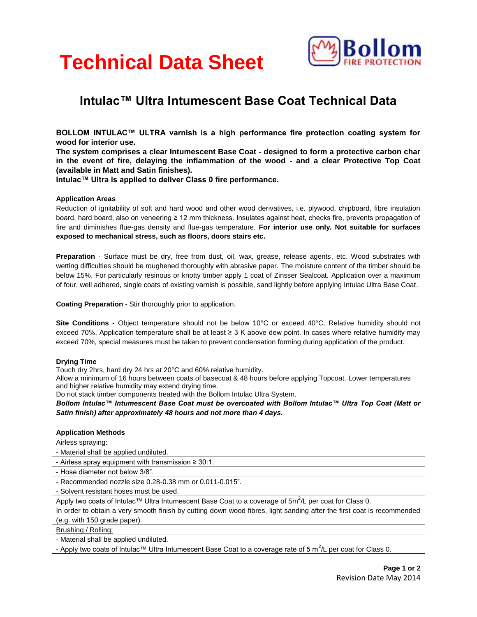# **Technical Data Sheet**



# **Intulac™ Ultra Intumescent Base Coat Technical Data**

**BOLLOM INTULAC™ ULTRA varnish is a high performance fire protection coating system for wood for interior use.** 

**The system comprises a clear Intumescent Base Coat - designed to form a protective carbon char in the event of fire, delaying the inflammation of the wood - and a clear Protective Top Coat (available in Matt and Satin finishes).** 

**Intulac™ Ultra is applied to deliver Class 0 fire performance.**

# **Application Areas**

Reduction of ignitability of soft and hard wood and other wood derivatives, i.e. plywood, chipboard, fibre insulation board, hard board, also on veneering ≥ 12 mm thickness. Insulates against heat, checks fire, prevents propagation of fire and diminishes flue-gas density and flue-gas temperature. **For interior use only. Not suitable for surfaces exposed to mechanical stress, such as floors, doors stairs etc.**

**Preparation** - Surface must be dry, free from dust, oil, wax, grease, release agents, etc. Wood substrates with wetting difficulties should be roughened thoroughly with abrasive paper. The moisture content of the timber should be below 15%. For particularly resinous or knotty timber apply 1 coat of Zinsser Sealcoat. Application over a maximum of four, well adhered, single coats of existing varnish is possible, sand lightly before applying Intulac Ultra Base Coat.

**Coating Preparation** - Stir thoroughly prior to application.

**Site Conditions** - Object temperature should not be below 10°C or exceed 40°C. Relative humidity should not exceed 70%. Application temperature shall be at least ≥ 3 K above dew point. In cases where relative humidity may exceed 70%, special measures must be taken to prevent condensation forming during application of the product.

## **Drying Time**

Touch dry 2hrs, hard dry 24 hrs at 20°C and 60% relative humidity.

Allow a minimum of 16 hours between coats of basecoat & 48 hours before applying Topcoat. Lower temperatures and higher relative humidity may extend drying time.

Do not stack timber components treated with the Bollom Intulac Ultra System.

*Bollom Intulac™ Intumescent Base Coat must be overcoated with Bollom Intulac™ Ultra Top Coat (Matt or Satin finish) after approximately 48 hours and not more than 4 days.*

# **Application Methods**

| Airless spraying:                                         |
|-----------------------------------------------------------|
| - Material shall be applied undiluted.                    |
| - Airless spray equipment with transmission $\geq 30:1$ . |
| - Hose diameter not below 3/8".                           |
| - Recommended nozzle size 0.28-0.38 mm or 0.011-0.015".   |
| - Solvent resistant hoses must be used.                   |

Apply two coats of Intulac™ Ultra Intumescent Base Coat to a coverage of 5m<sup>2</sup>/L per coat for Class 0. In order to obtain a very smooth finish by cutting down wood fibres, light sanding after the first coat is recommended (e.g. with 150 grade paper).

# Brushing / Rolling:

- Material shall be applied undiluted.

- Apply two coats of Intulac™ Ultra Intumescent Base Coat to a coverage rate of 5 m<sup>2</sup>/L per coat for Class 0.